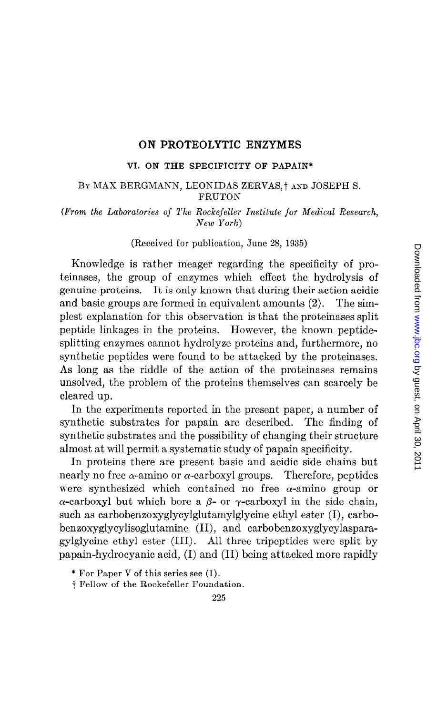#### ON PROTEOLYTIC ENZYMES

#### VI. ON THE SPECIFICITY OF PAPAIN\*

#### BY MAX BERGMANN, LEONIDAS ZERVAS,<sup>†</sup> AND JOSEPH S. FRUTON

(From the Laboratories of The Rockefeller Institute for Medical Research, New York)

#### (Received for publication, June 28, 1935)

Knowledge is rather meager regarding the specificity of proteinases, the group of enzymes which effect the hydrolysis of genuine proteins. It is only known that during their action acidic and basic groups are formed in equivalent amounts (2). The simplest explanation for this observation is that the proteinases split peptide linkages in the proteins, However, the known peptidesplitting enzymes cannot hydrolyze proteins and, furthermore, no synthetic peptides were found to be attacked by the proteinases. As long as the riddle of the action of the proteinases remains unsolved, the problem of the proteins themselves can scarcely be cleared up.

In the experiments reported in the present paper, a number of synthetic substrates for papain are described. The finding of synthetic substrates and the possibility of changing their structure almost at will permit a systematic study of papain specificity.

In proteins there are present basic and acidic side chains but nearly no free  $\alpha$ -amino or  $\alpha$ -carboxyl groups. Therefore, peptides were synthesized which contained no free  $\alpha$ -amino group or  $\alpha$ -carboxyl but which bore a  $\beta$ - or  $\gamma$ -carboxyl in the side chain, such as carbobenzoxyglycylglutamylglycine ethyl ester (I), carbobenzoxyglycylisoglutamine (II), and carbobenzoxyglycylasparagylglycine ethyl ester (III). All three tripeptides were split by papain-hydrocyanic acid, (I) and (II) being attacked more rapidly

<sup>\*</sup> For Paper V of this series see (1).

t Fellow of the Rockefeller Foundation.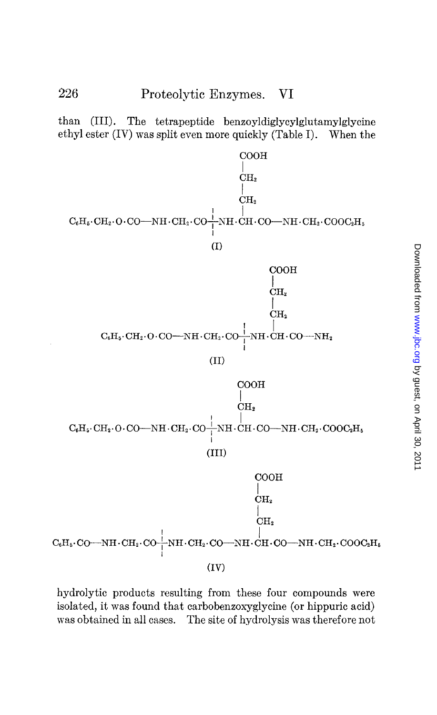than (III). The tetrapeptide benzoyldiglycylglutamylglycine ethyl ester (IV) was split even more quickly (Table I). When the



hydrolytic products resulting from these four compounds were isolated, it was found that carbobenzoxyglycine (or hippuric acid) was obtained in all cases. The site of hydrolysis was therefore not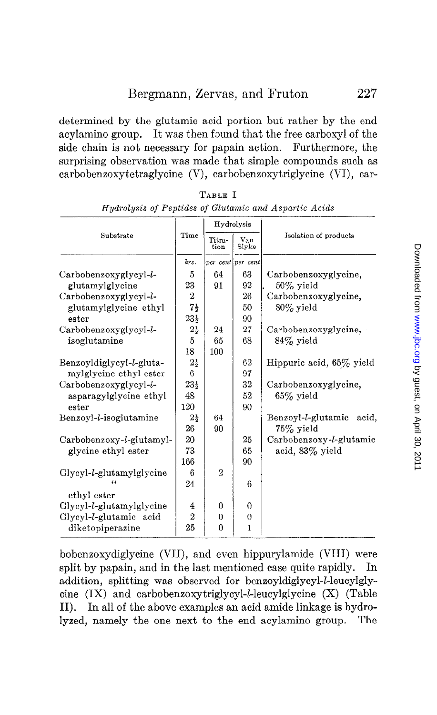determined by the glutamic acid portion but rather by the end acylamino group. It was then found that the free carboxyl of the side chain is not necessary for papain action. Furthermore, the surprising observation was made that simple compounds such as carbobenzoxytetraglycine (V), carbobenzoxytriglycine (VI), car-

| Substrate                | Time            | Hydrolysis     |                   |                             |  |  |
|--------------------------|-----------------|----------------|-------------------|-----------------------------|--|--|
|                          |                 | Titra-<br>tion | Van<br>Slyke      | Isolation of products       |  |  |
|                          | hrs.            |                | per cent per cent |                             |  |  |
| Carbobenzoxyglycyl-l-    | 5               | 64             | 63                | Carbobenzoxyglycine,        |  |  |
| glutamylglycine          | 23              | 91             | 92                | $50\%$ vield                |  |  |
| Carbobenzoxyglycyl-l-    | $\overline{2}$  |                | 26                | Carbobenzoxyglycine,        |  |  |
| glutamylglycine ethyl    | $7\frac{1}{2}$  |                | 50                | $80\%$ yield                |  |  |
| ester                    | $23\frac{1}{2}$ |                | 90                |                             |  |  |
| Carbobenzoxyglycyl-l-    | $2\frac{1}{2}$  | 24             | 27                | Carbobenzoxyglycine,        |  |  |
| isoglutamine             | 5               | 65             | 68                | $84\%$ yield                |  |  |
|                          | 18              | 100            |                   |                             |  |  |
| Benzoyldiglycyl-l-gluta- | $2\frac{1}{2}$  |                | 62                | Hippuric acid, 65% yield    |  |  |
| mylglycine ethyl ester   | 6               |                | 97                |                             |  |  |
| Carbobenzoxyglycyl-l-    | $23\frac{1}{2}$ |                | 32                | Carbobenzoxyglycine.        |  |  |
| asparagylglycine ethyl   | 48              |                | 52                | $65\%$ yield                |  |  |
| ester                    | 120             |                | 90                |                             |  |  |
| Benzoyl-l-isoglutamine   | $2\frac{1}{2}$  | 64             |                   | Benzoyl-l-glutamic<br>acid. |  |  |
|                          | 26              | 90             |                   | $75\%$ yield                |  |  |
| Carbobenzoxy-l-glutamyl- | 20              |                | 25                | Carbobenzoxy-l-glutamic     |  |  |
| glycine ethyl ester      | 73              |                | 65                | acid, $83\%$ yield          |  |  |
|                          | 166             |                | 90                |                             |  |  |
| Glycyl-l-glutamylglycine | 6               | $\overline{2}$ |                   |                             |  |  |
|                          | 24              |                | 6                 |                             |  |  |
| ethyl ester              |                 |                |                   |                             |  |  |
| Glycyl-l-glutamylglycine | 4               | $\Omega$       | $\Omega$          |                             |  |  |
| Glycyl-l-glutamic acid   | $\overline{2}$  | $\bf{0}$       | $\theta$          |                             |  |  |
| diketopiperazine         | 25              | 0              | 1                 |                             |  |  |

TABLE I Hydrolysis of Peptides of Glutamic and Aspartic Acids

bobenzoxydiglycine (VII), and even hippurylamide (VIII) were split by papain, and in the last mentioned case quite rapidly. In addition, splitting was observed for benzoyldiglycyl-*l*-leucylglycine  $(IX)$  and carbobenzoxytriglycyl-*L*-leucylglycine  $(X)$  (Table II). In all of the above examples an acid amide linkage is hydrolyzed, namely the one next to the end acylamino group. The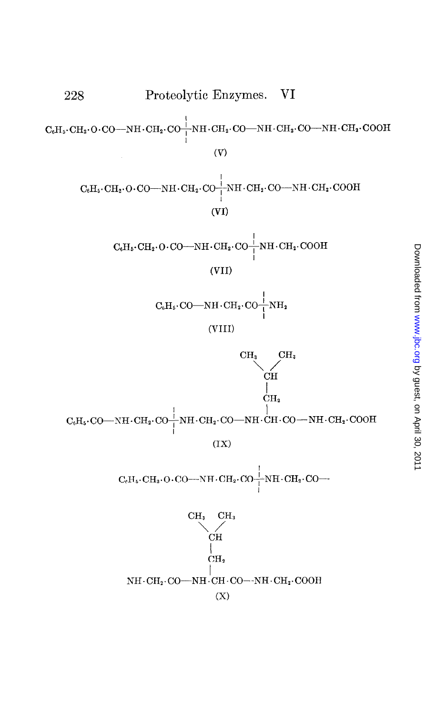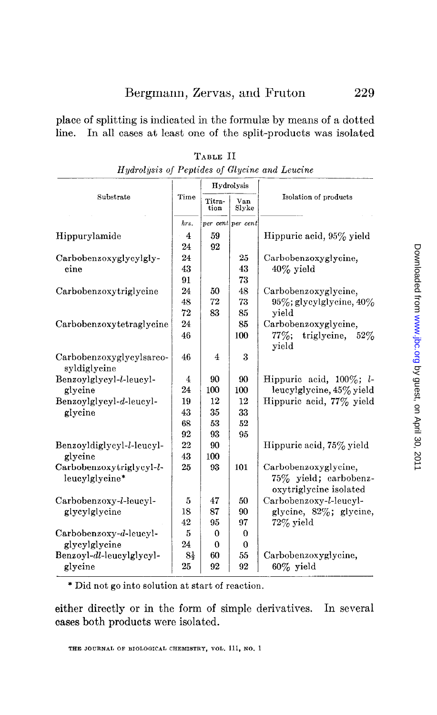place of splitting is indicated in the formulz by means of a dotted line. In all cases at least one of the split-products was isolated

|                                            |                         |                | Hydrolysis        |                                                                         |
|--------------------------------------------|-------------------------|----------------|-------------------|-------------------------------------------------------------------------|
| Substrate                                  | Time                    | Titra-<br>tion | Van<br>Slyke      | Isolation of products                                                   |
|                                            | hrs.                    |                | per cent per cent |                                                                         |
| Hippurylamide                              | $\bf{4}$                | 59             |                   | Hippuric acid, 95% yield                                                |
|                                            | 24                      | 92             |                   |                                                                         |
| Carbobenzoxyglycylgly-                     | 24                      |                | 25                | Carbobenzoxyglycine,                                                    |
| cine                                       | 43                      |                | 43                | $40\%$ yield                                                            |
|                                            | 91                      |                | 73                |                                                                         |
| Carbobenzoxytriglycine                     | 24                      | 50             | 48                | Carbobenzoxyglycine,                                                    |
|                                            | 48                      | 72             | 73                | $95\%$ ; glycylglycine, $40\%$                                          |
|                                            | 72                      | 83             | 85                | yield                                                                   |
| Carbobenzoxytetraglycine                   | 24                      |                | 85                | Carbobenzoxyglycine,                                                    |
|                                            | 46                      |                | 100               | triglycine,<br>$77\%$ :<br>$52\%$<br>yield                              |
| Carbobenzoxyglycylsarco-<br>syldiglycine   | 46                      | 4              | 3                 |                                                                         |
| Benzoylglycyl-l-leucyl-                    | $\overline{\mathbf{4}}$ | 90             | 90                | Hippuric acid. $100\%$ : <i>l</i> -                                     |
| glycine                                    | 24                      | 100            | 100               | leucylglycine, 45% yield                                                |
| Benzoylglycyl-d-leucyl-                    | 19                      | 12             | 12                | Hippuric acid, 77% yield                                                |
| glycine                                    | 43                      | 35             | 33                |                                                                         |
|                                            | 68                      | 53             | 52                |                                                                         |
|                                            | 92                      | 93             | 95                |                                                                         |
| Benzoyldiglycyl-l-leucyl-                  | 22                      | 90             |                   | Hippuric acid, 75% yield                                                |
| glycine                                    | 43                      | 100            |                   |                                                                         |
| Carbobenzoxytriglycyl-l-<br>leucylglycine* | 25                      | 93             | 101               | Carbobenzoxyglycine,<br>75% yield; carbobenz-<br>oxytriglycine isolated |
| Carbobenzoxy-l-leucyl-                     | 5                       | 47             | 50                | Carbobenzoxy-l-leucyl-                                                  |
| glycylglycine                              | 18                      | 87             | 90                | glycine, 82%; glycine,                                                  |
|                                            | 42                      | 95             | 97                | $72\%$ yield                                                            |
| Carbobenzoxy-d-leucyl-                     | 5                       | $\mathbf{0}$   | $\bf{0}$          |                                                                         |
| glycylglycine                              | 24                      | $\Omega$       | $\theta$          |                                                                         |
| Benzoyl-dl-leucylglycyl-                   | $8\frac{1}{2}$          | 60             | 55                | Carbobenzoxyglycine,                                                    |
| glycine                                    | 25                      | 92             | 92                | $60\%$ yield                                                            |

| TABLE II                                      |  |  |  |  |  |  |  |  |  |
|-----------------------------------------------|--|--|--|--|--|--|--|--|--|
| Hydrolysis of Peptides of Glycine and Leucine |  |  |  |  |  |  |  |  |  |

\* Did not go into solution at start of reaction.

either directly or in the form of simple derivatives. In several cases both products were isolated.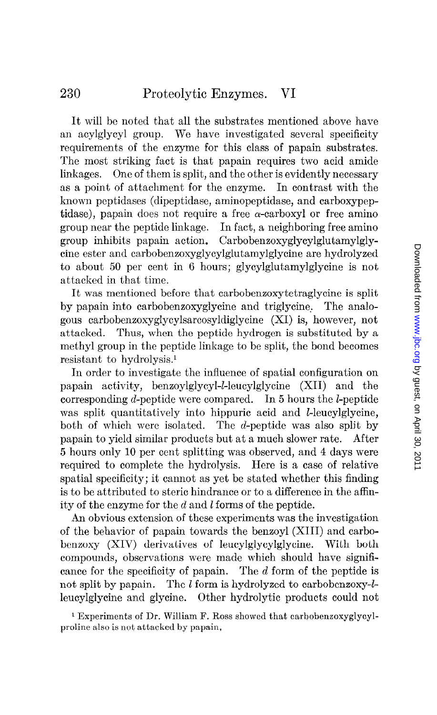It will be noted that all the substrates mentioned above have an acylglycyl group. We have investigated several specificity requirements of the enzyme for this class of papain substrates. The most striking fact is that papain requires two acid amide linkages. One of them is split, and the other is evidently necessary as a point of attachment for the enzyme. In contrast with the known pcptidases (dipeptidase, aminopeptidase, and carboxypeptidase), papain does not require a free  $\alpha$ -carboxyl or free amino group near the peptide linkage. In fact, a neighboring free amino group inhibits papain action. Carbobenzoxyglycylglutamylglytine ester and carbobenzoxyglycylglutamylglycine are hydrolyzed to about 50 per cent in 6 hours; glycylglutamylglycine is not attacked in that time.

It was mentioned before that carbobenzoxytetraglycine is split by papain into carbobenzoxyglycine and triglycine, The analogous carbobenzoxyglycylsarcosyldiglycine (XI) is, however, not attacked. Thus, when the peptide hydrogen is substituted by a methyl group in the peptide linkage to be split, the bond becomes resistant to hydrolysis.'

In order to investigate the influence of spatial configuration on papain activity, benzoylglycyl-Z-leucylglycine (XII) and the corresponding d-peptide were compared. In 5 hours the I-peptide was split quantitatively into hippuric acid and *l*-leucylglycine, both of which were isolated. The d-peptide was also split by papain to yield similar products but at a much slower rate. After 5 hours only 10 per cent splitting was observed, and 4 days were required to complete the hydrolysis. Here is a case of relative spatial specificity; it cannot as yet be stated whether this finding is to be attributed to steric hindrance or to a difference in the affinity of the enzyme for the d and 1 forms of the peptide.

An obvious extension of these experiments was the investigation of the behavior of papain towards the benzoyl (XIII) and carbobenzoxy (XIV) derivatives of leucylglycylglycine. With both compounds, observations were made which should have significance for the specificity of papain. The d form of the peptide is not split by papain. The  $l$  form is hydrolyzed to carbobenzoxy- $l$ leucylglycine and glycine. Other hydrolytic products could not

1 Experiments of Dr. William F. Ross showed that carbobenzoxyglycylproline also is not attacked by papain.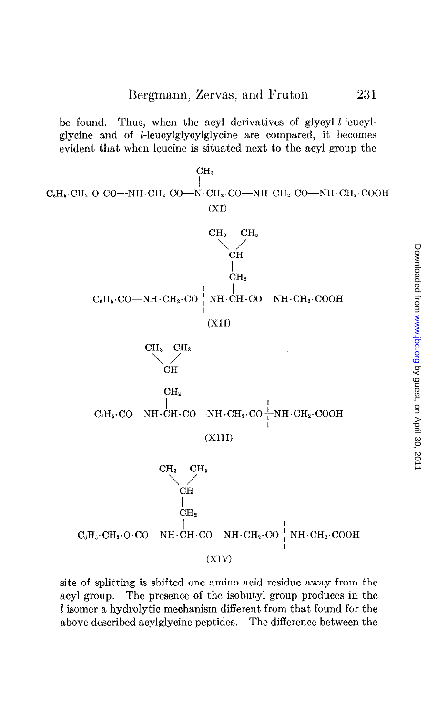be found. Thus, when the acyl derivatives of glycyl-l-leucylglycine and of bleucylglycylglycine are compared, it becomes evident that when leucine is situated next to the acyl group the



site of splitting is shifted one amino acid residue away from the acyl group. The presence of the isobutyl group produces in the I isomer a hydrolytic mechanism different from that found for the above described acylglycine peptides. The difference between the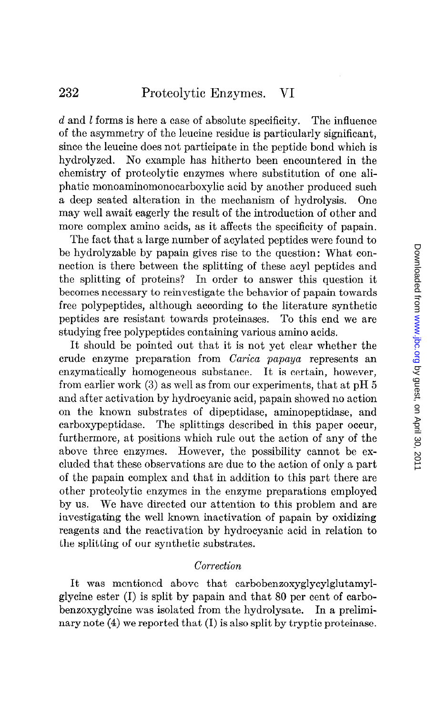d and l forms is here a case of absolute specificity. The influence of the asymmetry of the leucine residue is particularly significant, since the leucine does not participate in the peptide bond which is hydrolyzed. No example has hitherto been encountered in the chemistry of proteolytic enzymes where substitution of one aliphatic monoaminomonocarboxylic acid by another produced such a deep seated alteration in the mechanism of hydrolysis. One may well await eagerly the result of the introduction of other and more complex amino acids, as it affects the specificity of papain.

The fact that a large number of acylated peptides were found to be hydrolyzable by papain gives rise to the question: What connection is there between the splitting of these acyl peptides and the splitting of proteins? In order to answer this question it becomes necessary to reinvestigate the behavior of papain towards free polypeptides, although according to the literature synthetic peptides are resistant towards proteinases. To this end we are studying free polypeptides containing various amino acids.

It should be pointed out that it is not yet clear whether the crude enzyme preparation from Carica papaya represents an enzymatically homogeneous substance. It is certain, however, from earlier work (3) as well as from our experiments, that at pH 5 and after activation by hydrocyanic acid, papain showed no action on the known substrates of dipeptidase, aminopeptidase, and carboxypeptidase. The splittings described in this paper occur, furthermore, at positions which rule out the action of any of the above three enzymes. However, the possibility cannot be excluded that these observations are due to the action of only a part of the papain complex and that in addition to this part there are other proteolytic enzymes in the enzyme preparations employed by us. We have directed our attention to this problem and are investigating the well known inactivation of papain by oxidizing reagents and the reactivation by hydrocyanic acid in relation to the splitting of our synthetic substrates.

### Correction

It was mentioned above that carbobenzoxyglycylglutamylglycine ester (I) is split by papain and that 80 per cent of carbobenzoxyglycine was isolated from the hydrolysate. In a preliminary note (4) we reported that (I) is also split by tryptic proteinase.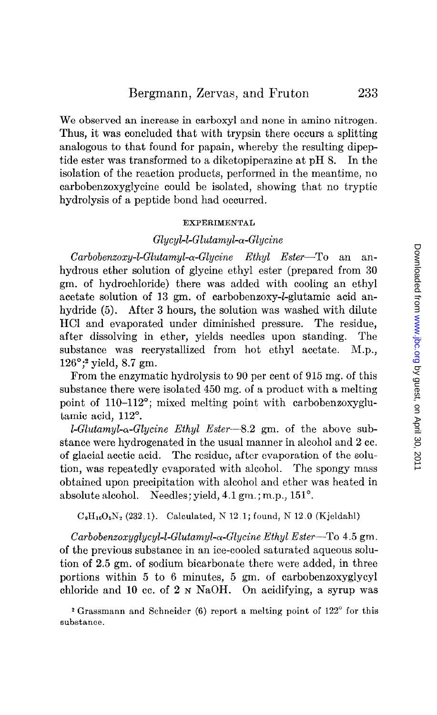We observed an increase in carboxyl and none in amino nitrogen. Thus, it was concluded that with trypsin there occurs a splitting analogous to that found for papain, whereby the resulting dipeptide ester was transformed to a diketopiperazine at  $pH_2$ . In the isolation of the reaction products, performed in the meantime, no carbobenzoxyglycine could be isolated, showing that no tryptic hydrolysis of a peptide bond had occurred.

#### EXPERIMENTAL

# $Glycyl$ -L-Glutamyl- $\alpha$ -Glycine

 $Carbobenzoxy-I-Glutamyl- $\alpha$ -Glycine Ethyl Ester—To an an$ hydrous ether solution of glycine ethyl ester (prepared from 30 gm. of hydrochloride) there was added with cooling an ethyl acetate solution of 13 gm. of carbobenzoxy-l-glutamic acid anhydride (5). After 3 hours, the solution was washed with dilute HCI and evaporated under diminished pressure. The residue, after dissolving in ether, yields needles upon standing. The substance was recrystallized from hot ethyl acetate. M.p.,  $126^{\circ}$ ;<sup>2</sup> yield, 8.7 gm.

From the enzymatic hydrolysis to 90 per cent of 915 mg. of this substance there were isolated 450 mg. of a product with a melting point of 110-112"; mixed melting point with carbobenzoxyglutamic acid, 112'.

LGlutamyl-a-G'lycine Ethyl Ester-S.2 gm. of the above substance were hydrogenated in the usual manner in alcohol and 2 cc. of glacial acetic acid. The residue, after evaporation of the solution, was repeatedly evaporated with alcohol. The spongy mass obtained upon precipitation with alcohol and ether was heated in absolute alcohol. Needles; yield, 4.1 gm.; m.p., 151<sup>o</sup>.

 $C_9H_{16}O_5N_2$  (232.1). Calculated, N 12.1; found, N 12.0 (Kjeldahl)

 $Carbobenzoxyglycyl-U-Glutamyl- $\alpha$ -Glycine Ethyl Ester—To 4.5 gm.$ of the previous substance in an ice-cooled saturated aqueous solution of 2.5 gm. of sodium bicarbonate there were added, in three portions within 5 to 6 minutes, 5 gm. of carbobenzoxyglycyl chloride and 10 cc. of  $2 \text{ N } \text{NaOH}$ . On acidifying, a syrup was

 $*$  Grassmann and Schneider (6) report a melting point of  $122^{\circ}$  for this substance.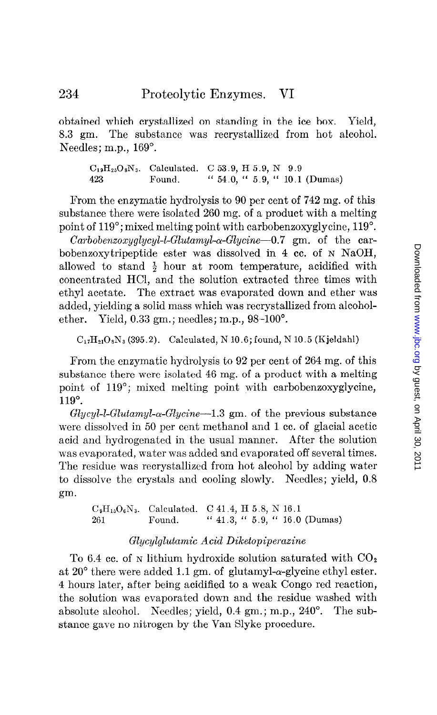obtained which crystallized on standing in the ice box. Yield, 8.3 gm. The substance was recrystallized from hot alcohol. Needles; m.p., 169°.

 $C_{19}H_{25}O_8N_3$ . Calculated. C 53.9, H 5.9, N 9.9 423 Found. " 54.0, " 5.9, " 10.1 (Dumas)

From the enzymatic hydrolysis to 90 per cent of 742 mg. of this substance there were isolated 260 mg. of a product with a melting point of 119'; mixed melting point with carbobenzoxyglycine, 119".

Carbobenzoxyglycyl-l-Glutamyl- $\alpha$ -Glycine-0.7 gm. of the carbobenzoxytripeptide ester was dissolved in 4 cc. of N NaOH, allowed to stand  $\frac{1}{2}$  hour at room temperature, acidified with concentrated HCl, and the solution extracted three times with ethyl acetate. The extract was evaporated down and ether was added, yielding a solid mass which was recrystallized from alcoholether. Yield, 0.33 gm.; needles; m.p., 98-100".

 $C_{17}H_{21}O_8N_3$  (395.2). Calculated, N 10.6; found, N 10.5 (Kjeldahl)

From the enzymatic hydrolysis to 92 per cent of 264 mg. of this substance there were isolated 46 mg. of a product with a melting point of 119"; mixed melting point with carbobenzoxyglycine, 119".

 $Glycyl$ -1- $Glutamyl$ - $\alpha$ - $Glycine-1.3$  gm. of the previous substance were dissolved in 50 per cent methanol and 1 cc. of glacial acetic acid and hydrogenated in the usual manner. After the solution was evaporated, water was added and evaporated off several times. The residue was recrystallized from hot alcohol by adding water to dissolve the crystals and cooling slowly. Needles; yield, 0.8 gm.

 $C_9H_{15}O_6N_3$ . Calculated. C 41.4, H 5.8, N 16.1 261 Found. " 41.3, " 5.9, " 16.0 (Dumas)

# Glycylglutamic Acid Diketopiperaxine

To 6.4 cc. of N lithium hydroxide solution saturated with  $CO<sub>2</sub>$ at 20 $\degree$  there were added 1.1 gm. of glutamyl- $\alpha$ -glycine ethyl ester. 4 hours later, after being acidified to a weak Congo red reaction, the solution was evaporated down and the residue washed with absolute alcohol. Needles; yield, 0.4 gm.; m.p., 240°. The substance gave no nitrogen by the Van Slyke procedure.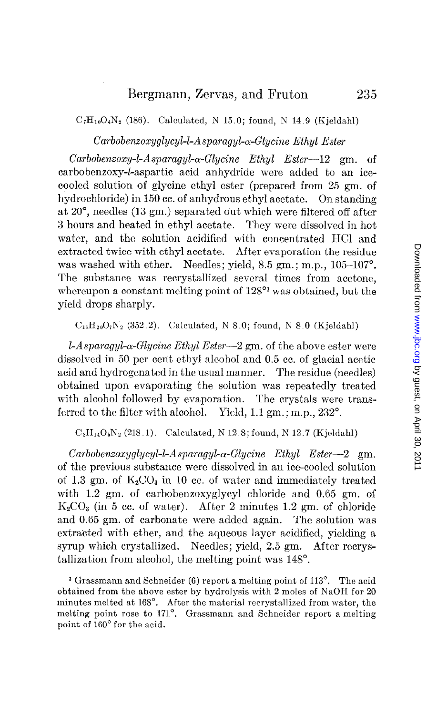$C_7H_{10}O_4N_2$  (186). Calculated, N 15.0; found, N 14.9 (Kjeldahl)

# Carbobenxoxyglycyl-l-Asparagyl-a-Glycine Ethyl Ester

 $Carbobenzoxy-L-Asparagyl- $\alpha$ -Glycine Ethyl Ester-12 gm. of$ carbobenzoxy-l-aspartic acid anhydride were added to an icecooled solution of glycine ethyl ester (prepared from 25 gm. of hydrochloride) in 150 cc. of anhydrous ethyl acetate. On standing at 20°, needles (13 gm.) separated out which were filtered off after 3 hours and heated in ethyl acetate. They were dissolved in hot water, and the solution acidified with concentrated HCl and extracted twice with ethyl acetate. After evaporation the residue was washed with ether. Needles; yield,  $8.5$  gm.; m.p.,  $105-107^\circ$ . The substance was recrystallized several times from acetone, whereupon a constant melting point of  $128^{\circ}$ <sup>3</sup> was obtained, but the yield drops sharply.

 $C_{16}H_{20}O_7N_2$  (352.2). Calculated, N 8.0; found, N 8.0 (Kjeldahl)

 $1-A$ sparagyl- $\alpha$ -Glycine Ethyl Ester-2 gm. of the above ester were dissolved in 50 per cent ethyl alcohol and 0.5 cc. of glacial acetic acid and hydrogenated in the usual manner. The residue (needles) obtained upon evaporating the solution was repeatedly treated with alcohol followed by evaporation. The crystals were transferred to the filter with alcohol. Yield, 1.1 gm.; m.p., 232<sup>o</sup>.

 $C_8H_{14}O_5N_2$  (218.1). Calculated, N 12.8; found, N 12.7 (Kjeldahl)

 $Carbobenzoxyglycyl-L-Asparagyl- $\alpha$ -Glycine Ethyl Ester-2 gm.$ of the previous substance were dissolved in an ice-cooled solution of 1.3 gm. of  $K_2CO_3$  in 10 cc. of water and immediately treated with 1.2 gm. of carbobenzoxyglycyl chloride and 0.65 gm. of  $K_2CO_3$  (in 5 cc. of water). After 2 minutes 1.2 gm. of chloride and 0.65 gm. of carbonate were added again. The solution was extracted with ether, and the aqueous layer acidified, yielding a syrup which crystallized. Needles; yield, 2.5 gm. After recrystallization from alcohol, the melting point was 148".

<sup>3</sup> Grassmann and Schneider (6) report a melting point of 113<sup>°</sup>. The acid obtained from the above ester by hydrolysis with 2 moles of NaOH for 20 minutes melted at 168". After the material recrystallized from water, the melting point rose to 171°. Grassmann and Schneider report a melting point of 160' for the acid.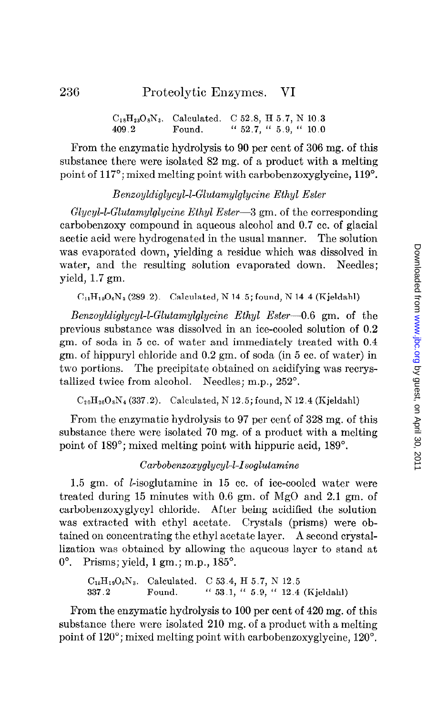$C_{18}H_{23}O_8N_3$ . Calculated. C 52.8, H 5.7, N 10.3 409.2 Found. " 52.7, " 5.9, " 10.0

From the enzymatic hydrolysis to 90 per cent of 306 mg. of this substance there were isolated 82 mg. of a product with a melting point of 117<sup>o</sup>; mixed melting point with carbobenzoxyglycine, 119<sup>o</sup>.

### Benzoyldiglycyl-LGlutamylglycine Ethyl Ester

 $Glycyl$ -I-Glutamylglycine Ethyl Ester-3 gm. of the corresponding carbobenzoxy compound in aqueous alcohol and 0.7 cc. of glacial acetic acid were hydrogenated in the usual manner. The solution was evaporated down, yielding a residue which was dissolved in water, and the resulting solution evaporated down. Needles; yield, 1.7 gm.

 $C_{11}H_{19}O_6N_3$  (289.2). Calculated, N 14.5; found, N 14.4 (Kjeldahl)

Benzoyldiglycyl-1-Glutamylglycine Ethyl Ester-O.6 gm. of the previous substance was dissolved in an ice-cooled solution of 0.2 gm. of soda in 5 cc. of water and immediately treated with 0.4 gm. of hippuryl chloride and 0.2 gm. of soda (in 5 cc. of water) in two portions. The precipitate obtained on acidifying was recrystallized twice from alcohol. Needles: m.p., 252°.

 $C_{20}H_{26}O_8N_4$  (337.2). Calculated, N 12.5; found, N 12.4 (Kjeldahl)

From the enzymatic hydrolysis to 97 per cent of 328 mg. of this substance there were isolated 70 mg. of a product with a melting point of 189"; mixed melting point with hippuric acid, 189".

# Carbobenzoxyglycyl-l-Isoglutamine

1.5 gm. of I-isoglutamine in 15 cc. of ice-cooled water were treated during 15 minutes with 0.6 gm. of MgO and 2.1 gm. of carbobenzoxyglycyl chloride. After being acidified the solution was extracted with ethyl acetate. Crystals (prisms) were obtained on concentrating the ethyl acetate layer. A second crystallization was obtained by allowing the aqueous layer to stand at  $0^\circ$ . Prisms; yield, 1 gm.; m.p., 185 $^\circ$ .

 $C_{15}H_{19}O_6N_3$ . Calculated. C 53.4, H 5.7, N 12.5  $337.2$  Found. "  $53.1,$  "  $5.9,$  "  $12.4$  (Kjeldahl)

From the enzymatic hydrolysis to 100 per cent of 420 mg. of this substance there were isolated 210 mg. of a product with a melting point of 120"; mixed melting point with carbobenzoxyglycine, 120".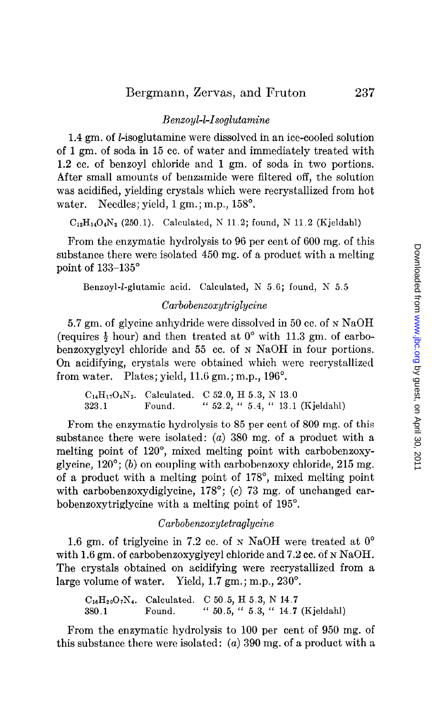### Benzoyl-l-Isoglutamine

1.4 gm. of I-isoglutamine were dissolved in an ice-cooled solution of 1 gm. of soda in 15 cc. of water and immediately treated with 1.2 cc. of benzoyl chloride and 1 gm. of soda in two portions. After small amounts of benzamide were filtered off, the solution was acidified, yielding crystals which were recrystallized from hot water. Needles; yield, 1 gm.; m.p., 158<sup>°</sup>.

 $C_{12}H_{14}O_4N_2$  (250.1). Calculated, N 11.2; found, N 11.2 (Kjeldahl)

From the enzymatic hydrolysis to 96 per cent of 600 mg. of this substance there were isolated 450 mg. of a product with a melting point of 133-135'

Benzoyl-l-glutamic acid. Calculated, N 5.6; found, N 5.5

### $Carbo benzoxutrialucine$

5.7 gm. of glycine anhydride were dissolved in 50 cc. of N NaOH (requires  $\frac{1}{2}$  hour) and then treated at  $0^{\circ}$  with 11.3 gm. of carbobenzoxyglycyl chloride and 55 cc. of N NaOH in four portions. On acidifying, crystals were obtained which were recrystallized from water. Plates; yield,  $11.6$  gm.; m.p.,  $196^\circ$ .

 $C_{14}H_{17}O_6N_3$ . Calculated. C 52.0, H 5.3, N 13.0 323.1 Found. "  $52.2, " 5.4, " 13.1 (Kjeldahl)$ 

From the enzymatic hydrolysis to 85 per cent of 809 mg. of this substance there were isolated: (a) 380 mg. of a product with a melting point of 120", mixed melting point with carbobenzoxyglycine,  $120^{\circ}$ ; (b) on coupling with carbobenzoxy chloride,  $215$  mg. of a product with a melting point of 178", mixed melting point with carbobenzoxydiglycine, 178°; (c) 73 mg. of unchanged carbobenzoxytriglycine with a melting point of 195".

### Carbobenzoxytetraglycine

1.6 gm. of triglycine in 7.2 cc. of  $N$  NaOH were treated at  $0^{\circ}$ with 1.6 gm. of carbobenzoxyglycyl chloride and 7.2 cc. of N NaOH. The crystals obtained on acidifying were recrystallized from a large volume of water. Yield, 1.7 gm.; m.p., 230'.

 $C_{16}H_{20}O_7N_4$ . Calculated. C 50.5, H 5.3, N 14.7 380.1 Found. " 50.5, " 5.3, " 14.7 (Kjeldahl)

From the enzymatic hydrolysis to 100 per cent of 950 mg. of this substance there were isolated: (a) 390 mg. of a product with a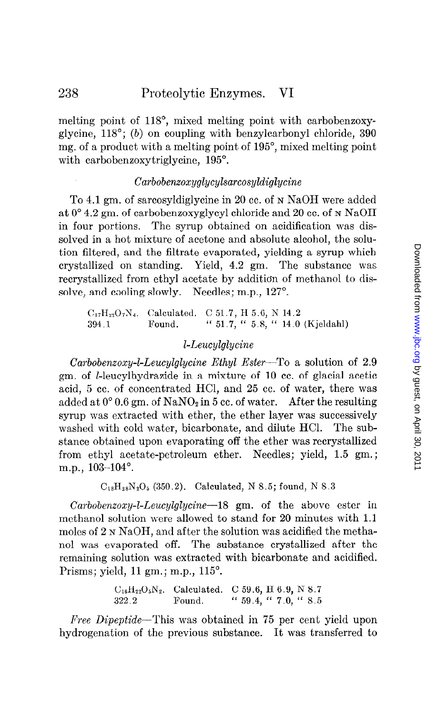melting point of 118", mixed melting point with carbobenzoxyglycine,  $118^{\circ}$ ; (b) on coupling with benzylcarbonyl chloride, 390 mg. of a product with a melting point of 195", mixed melting point with carbobenzoxytriglycine, 195°.

### Carbobenxoxyglycylsarcosyldiglycine

To 4.1 gm. of sarcosyldiglycine in 20 cc. of N NaOH were added at  $0^{\circ}$  4.2 gm. of carbobenzoxyglycyl chloride and 20 cc. of N NaOH in four portions. The syrup obtained on acidification was dissolved in a hot mixture of acetone and absolute alcohol, the solution filtered, and the filtrate evaporated, yielding a syrup which crystallized on standing. Yield, 4.2 gm. The substance was recrystallized from ethyl acetate by addition of methanol to dissolve, and cooling slowly. Needles; m.p., 127<sup>o</sup>.

 $C_{17}H_{22}O_7N_4$ . Calculated. C 51.7, H 5.6, N 14.2 394.1 Found. " 51.7, " 5.8, " 14.0 (Kjeldahl)

# I-Leucylglycine

 $Carbobenzoxy-L-Leucylglycine Ethyl Ester-To$  a solution of 2.9 gm. of I-leucylhydrazide in a mixture of 10 cc. of glacial acetic acid, 5 cc. of concentrated HCl, and 25 cc. of water, there was added at  $0^{\circ}$  0.6 gm. of NaNO<sub>2</sub> in 5 cc. of water. After the resulting syrup was extracted with ether, the ether layer was successively washed with cold water, bicarbonate, and dilute HCl. The substance obtained upon evaporating off the ether was recrystallized from ethyl acetate-petroleum ether. Needles; yield, 1.5 gm.; m.p., 103-104<sup>°</sup>.

 $C_{18}H_{28}N_2O_5$  (350.2). Calculated, N 8.5; found, N 8.3

Carbobenzoxy-l-Leucylglycine-18 gm. of the above ester in methanol solution were allowed to stand for 20 minutes with 1.1 moles of 2 N NaOH, and after the solution was acidified the methanol was evaporated off. The substance crystallized after the remaining solution was extracted with bicarbonate and acidified. Prisms; yield, 11 gm.; m.p., 115'.

> $C_{16}H_{22}O_5N_2$ . Calculated. C 59.6, H 6.9, N 8.7 322.2 Found. " 59.4, " 7.0, " 5.5

Free Dipeptide-This was obtained in 75 per cent yield upon hydrogenation of the previous substance. It was transferred to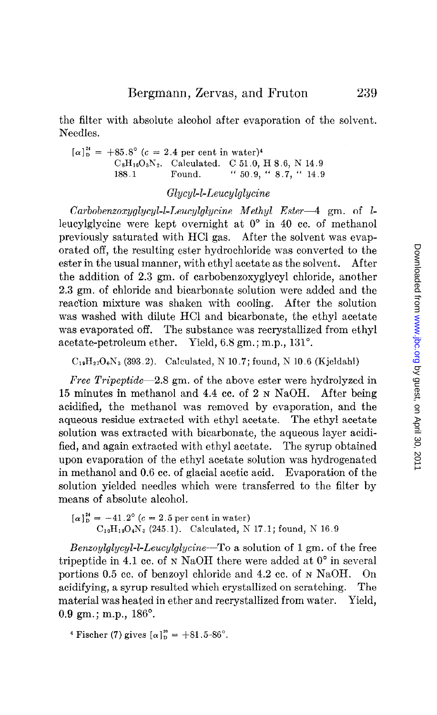the filter with absolute alcohol after evaporation of the solvent. Needles.

 $[\alpha]_D^{24} = +85.8^{\circ}$  (c = 2.4 per cent in water)<sup>4</sup>  $C_8H_{16}O_3N_2$ . Calculated. C 51.0, H 8.6, N 14.9 188.1 Found. "  $50.9,$  "  $8.7,$  "  $14.9$ 

### Glycyl-l-Leucylglycine

 $Carbobenzoxyglycyl-L-Leucylglycine Methyl Ester-4 gm. of L$ leucylglycine were kept overnight at  $0^{\circ}$  in 40 cc. of methanol previously saturated with HCl gas. After the solvent was evaporated off, the resulting ester hydrochloride was converted to the ester in the usual manner, with ethyl acetate as the solvent. After the addition of 2.3 gm. of carbobenzoxyglycyl chloride, another 2.3 gm. of chloride and bicarbonate solution were added and the reaction mixture was shaken with cooling. After the solution was washed with dilute HCl and bicarbonate, the ethyl acetate was evaporated off. The substance was recrystallized from ethyl acetate-petroleum ether. Yield, 6.8 gm.; m.p., 131".

 $C_{19}H_{27}O_6N_3$  (393.2). Calculated, N 10.7; found, N 10.6 (Kjeldahl)

Free Tripeptide-2.8 gm. of the above ester were hydrolyzed in 15 minutes in methanol and 4.4 cc. of 2 N NaOH. After being acidified, the methanol was removed by evaporation, and the aqueous residue extracted with ethyl acetate. The ethyl acetate solution was extracted with bicarbonate, the aqueous layer acidified, and again extracted with ethyl acetate. The syrup obtained upon evaporation of the ethyl acetate solution was hydrogenated in methanol and 0.6 cc. of glacial acetic acid. Evaporation of the solution yielded needles which were transferred to the filter by means of absolute alcohol.

 $[\alpha]_{D}^{24} = -41.2^{\circ} (c = 2.5 \text{ per cent in water})$  $C_{10}H_{19}O_4N_3$  (245.1). Calculated, N 17.1; found, N 16.9

Benzoylglycyl-l-Leucylglycine-To a solution of 1 gm. of the free tripeptide in 4.1 cc. of  $N$  NaOH there were added at  $0^{\circ}$  in several portions 0.5 cc. of benzoyl chloride and 4.2 cc. of N NaOH. On acidifying, a syrup resulted which crystallized on scratching. The material was heated in ether and recrystallized from water. Yield, 0.9 gm.; m.p.,  $186^{\circ}$ .

<sup>4</sup> Fischer (7) gives  $[\alpha]_D^{20} = +81.5-86^\circ$ .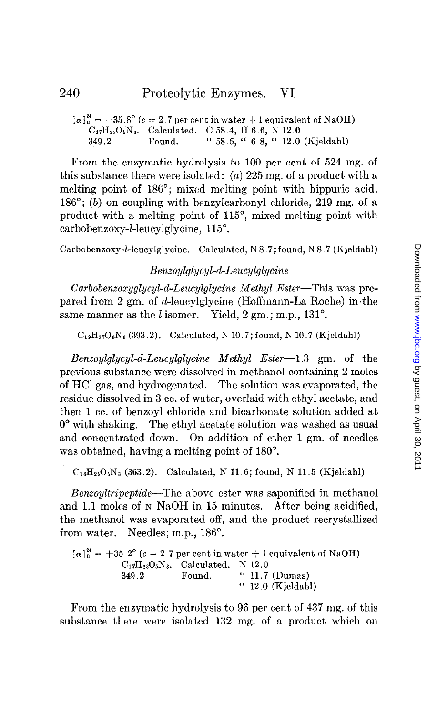```
[\alpha]_p^{24} = -35.8^{\circ} (c = 2.7 per cent in water + 1 equivalent of NaOH)
C_{17}H_{23}O_5N_3. Calculated. C 58.4, H 6.6, N 12.0
349.2 Found. " 58.5, " 6.8, " 12.0 (Kjeldahl)
```
From the enzymatic hydrolysis to 100 per cent of 524 mg. of this substance there were isolated: (a)  $225 \text{ mg}$ , of a product with a melting point of 186"; mixed melting point with hippuric acid,  $186^{\circ}$ ; (b) on coupling with benzylcarbonyl chloride, 219 mg. of a product with a melting point of 115", mixed melting point with carbobenzoxy-1-leucylglycine, 115".

Carbobenzoxy-I-leucylglycine. Calculated, N 8.7; found, N 8.7 (Kjeldahl)

# Benzoylglycyl-d-Leucylglycine

Carbobenzoxyglycyl-d-Leucylglycine Methyl Ester-This was prepared from 2 gm. of d-leucylglycine (Hoffmann-La Roche) in the same manner as the  $l$  isomer. Yield,  $2 \text{ gm.}; \text{m.p., } 131^{\circ}$ .

 $C_{19}H_{27}O_6N_3$  (393.2). Calculated, N 10.7; found, N 10.7 (Kjeldahl)

Benzoylglycyl-d-Leucylglycine Methyl Ester-I.3 gm. of the previous substance were dissolved in methanol containing 2 moles of HCl gas, and hydrogenated. The solution was evaporated, the residue dissolved in 3 cc. of water, overlaid with ethyl acetate, and then 1 cc. of benzoyl chloride and bicarbonate solution added at 0' with shaking. The ethyl acetate solution was washed as usual and concentrated down. On addition of ether 1 gm. of needles was obtained, having a melting point of  $180^\circ$ .

 $C_{18}H_{25}O_5N_3$  (363.2). Calculated, N 11.6; found, N 11.5 (Kjeldahl)

Benzoyltripeptide-The above ester was saponified in methanol and 1.1 moles of N NaOH in 15 minutes. After being acidified, the methanol was evaporated off, and the product recrystallized from water. Needles; m.p., 186°.

 $[\alpha]_{\text{D}}^{24}$  = +35.2° (c = 2.7 per cent in water + 1 equivalent of NaOH)  $C_{17}H_{23}O_5N_3$ . Calculated. N 12.0 349.2 Found. " 11.7 (Dumas) " 12.0 (Kjeldahl)

From the enzymatic hydrolysis to 96 per cent of 437 mg. of this substance there were isolated 132 mg. of a product which on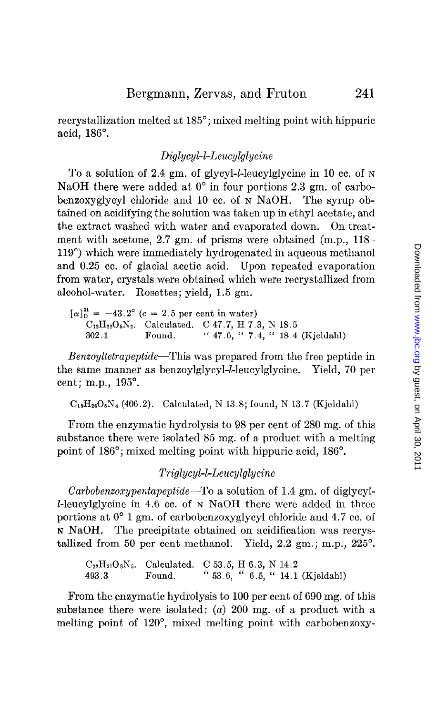recrystallization melted at 185"; mixed melting point with hippuric acid, 186".

### Diglycyl-I-Leucylglycine

To a solution of 2.4 gm. of glycyl-1-leucylglycine in 10 cc. of N NaOH there were added at  $0^{\circ}$  in four portions 2.3 gm. of carbobenzoxyglycyl chloride and 10 cc. of N NaOH. The syrup obtained on acidifying the solution was taken up in ethyl acetate, and the extract washed with water and evaporated down. On treatment with acetone, 2.7 gm. of prisms were obtained (m.p., 118– 119') which were immediately hydrogenated in aqueous methanol and 0.25 cc. of glacial acetic acid. Upon repeated evaporation from water, crystals were obtained which were recrystallized from alcohol-water. Rosettes; yield, 1.5 gm.

 $[\alpha]_{\text{D}}^{24} = -43.2^{\circ}$  (c = 2.5 per cent in water)  $C_{12}H_{22}O_5N_2$ . Calculated. C 47.7, H 7.3, N 18.5 302.1 Found. "  $47.6,$  "  $7.4,$  "  $18.4$  (Kjeldahl)

Benzoyltetrapeptide-This was prepared from the free peptide in the same manner as benzoylglycyl-1-leucylglycine. Yield, 70 per cent; m.p., 195".

 $C_{19}H_{26}O_6N_4$  (406.2). Calculated, N 13.8; found, N 13.7 (Kjeldahl)

From the enzymatic hydrolysis to 98 per cent of 280 mg. of this substance there were isolated 85 mg. of a product with a melting point of 186"; mixed melting point with hippuric acid, 186".

### Triglycyl-1-Leucylglycine

Carbobenzoxypentapeptide—To a solution of 1.4 gm. of diglycyl-I-leucylglycine in 4.6 cc. of N NaOH there were added in three portions at 0' 1 gm. of carbobenzoxyglycyl chloride and 4.7 cc. of N NaOH. The precipitate obtained on acidification was recrystallized from 50 per cent methanol. Yield,  $2.2$  gm.; m.p.,  $225^\circ$ .

 $C_{22}H_{31}O_8N_5$ . Calculated. C 53.5, H 6.3, N 14.2 493.3 Found. " 53.6, " 6.5, " 14.1 (Kielda

From the enzymatic hydrolysis to 100 per cent of 690 mg. of this substance there were isolated:  $(a)$  200 mg. of a product with a melting point of 120°, mixed melting point with carbobenzoxy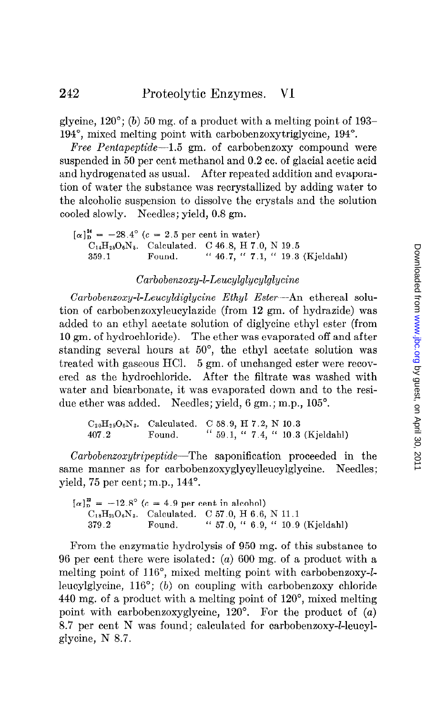glycine,  $120^{\circ}$ ; (b) 50 mg, of a product with a melting point of 193-194", mixed melting point with carbobenzoxytriglycine, 194".

Free Pentapeptide-1.5 gm. of carbobenzoxy compound were suspended in 50 per cent methanol and 0.2 cc. of glacial acetic acid and hydrogenated as usual. After repeated addition and evaporation of water the substance was recrystallized by adding water to the alcoholic suspension to dissolve the crystals and the solution cooled slowly. Needles; yield, 0.8 gm.

 $[\alpha]_{\text{D}}^{24} = -28.4^{\circ}$  (c = 2.5 per cent in water)  $C_{14}H_{25}O_6N_5$ . Calculated. C 46.8, H 7.0, N 19.5 359.1 Found. " 46.7, " 7.1, " 19.3 (Kjeldahl)

### Carbobenzoxy-l-Leucylglycylglycine

 $Carbobenzoxy-L-Leucyl diglycine Ethyl Ester-An ethereal solu$ tion of carbobenzoxyleucylazide (from 12 gm. of hydrazide) was added to an ethyl acetate solution of diglycine ethyl ester (from 10 gm. of hydrochloride). The ether was evaporated off and after standing several hours at 50°, the ethyl acetate solution was treated with gaseous HCl. 5 gm. of unchanged ester were recovered as the hydrochloride. After the filtrate was washed with water and bicarbonate, it was evaporated down and to the residue ether was added. Needles; yield, 6 gm.; m.p., 105°.

 $C_{20}H_{29}O_6N_3$ . Calculated. C 58.9, H 7.2, N 10.3 407.2 Found. " 59.1, " 7.4, " 10.3 (Kjeldahl)

Carbobenxoxytripeptide-The saponification proceeded in the same manner as for carbobenzoxyglycylleucylglycine. Needles; yield, 75 per cent; m.p.,  $144^\circ$ .

 $[\alpha]_p^2 = -12.8^{\circ}$  (c = 4.9 per cent in alcohol)  $C_{18}H_{25}O_6N_3$ . Calculated. C 57.0, H 6.6, N 11.1 379.2 Found. " 57.0, " 6.9, " 10.9 (Kjeldahl)

From the enzymatic hydrolysis of 950 mg. of this substance to 96 per cent there were isolated: (a) 600 mg. of a product with a melting point of 116", mixed melting point with carbobenzoxy-lleucylglycine, 116"; (b) on coupling with carbobenzoxy chloride 440 mg. of a product with a melting point of 120", mixed melting point with carbobenzoxyglycine,  $120^\circ$ . For the product of (a) 8.7 per cent N was found; calculated for carbobenzoxy-l-leucylglycine, N 8.7.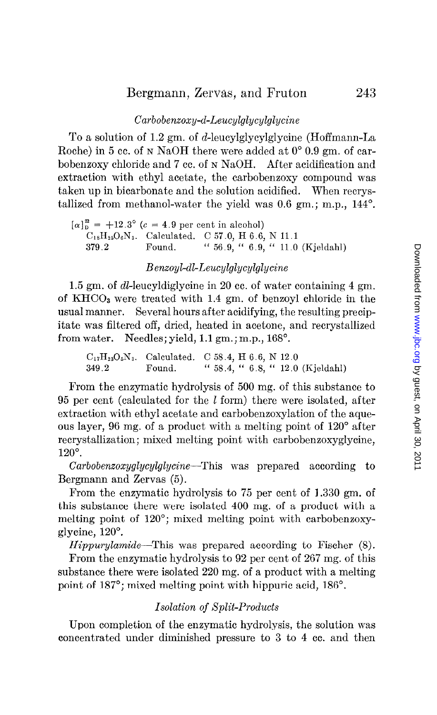# $Carbobenzoxy-d-Leucylglycylglycine$

TO a solution of 1.2 gm. of d-leucylglycylglycine (Hoffmann-La Roche) in 5 cc. of N NaOH there were added at  $0^{\circ}$  0.9 gm. of carbobenzoxy chloride and 7 cc. of N NaOH. After acidification and extraction with ethyl acetate, the carbobenzoxy compound was taken up in bicarbonate and the solution acidified. When recrystallized from methanol-water the yield was 0.6 gm.; m.p., 144".

 $[\alpha]_{\text{D}}^{22} = +12.3^{\circ}$  (c = 4.9 per cent in alcohol)  $C_{18}H_{25}O_6N_3$ . Calculated. C 57.0, H 6.6, N 11.1 379.2 Found. "  $56.9,$  "  $6.9,$  "  $11.0$  (Kjeldahl)

### Benxoyl-dl-Leucylglycylglycine

1.5 gm. of dl-leucyldiglycine in 20 cc. of water containing 4 gm. of KH003 were treated with 1.4 gm. of benzoyl chloride in the usual manner. Several hours after acidifying, the resulting precipitate was filtered off, dried, heated in acetone, and recrystallized from water. Needles; yield, 1.1 gm.; m.p., 168".

 $C_{17}H_{23}O_5N_3$ . Calculated. C 58.4, H 6.6, N 12.0 349.2 Found. " 58.4, " 6.8, " 12.0 (Kjeldahl)

From the enzymatic hydrolysis of 500 mg. of this substance to 95 per cent (calculated for the 1 form) there were isolated, after extraction with ethyl acetate and carbobenzoxylation of the aqueous layer, 96 mg. of a product with a melting point of 120° after recrystallization; mixed melting point with carbobenzoxyglycine, 120".

Carbobenxoxyglycylglycine-This was prepared according to Bergmann and Zervas (5).

From the enzymatic hydrolysis to 75 per cent of 1.330 gm. of this substance there were isolated 400 mg. of a product with a melting point of 120'; mixed melting point with carbobenzoxyglycine, 120'.

Hippurylamide-This was prepared according to Fischer (8).

From the enzymatic hydrolysis to 92 per cent of 267 mg. of this substance there were isolated 220 mg. of a product with a melting point of 187<sup>°</sup>; mixed melting point with hippuric acid, 186<sup>°</sup>.

### Isolation of Split-Products

Upon completion of the enzymatic hydrolysis, the solution was concentrated under diminished pressure to 3 to 4 cc. and then